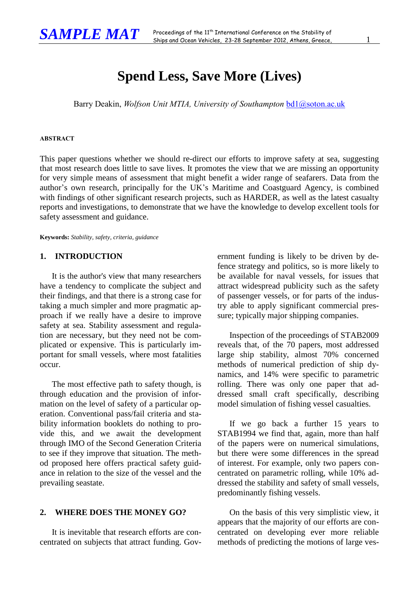# **Spend Less, Save More (Lives)**

Barry Deakin, *Wolfson Unit MTIA, University of Southampton* bd1@soton.ac.uk

#### **ABSTRACT**

This paper questions whether we should re-direct our efforts to improve safety at sea, suggesting that most research does little to save lives. It promotes the view that we are missing an opportunity for very simple means of assessment that might benefit a wider range of seafarers. Data from the author's own research, principally for the UK's Maritime and Coastguard Agency, is combined with findings of other significant research projects, such as HARDER, as well as the latest casualty reports and investigations, to demonstrate that we have the knowledge to develop excellent tools for safety assessment and guidance.

**Keywords:** *Stability, safety, criteria, guidance*

#### **1. INTRODUCTION**

It is the author's view that many researchers have a tendency to complicate the subject and their findings, and that there is a strong case for taking a much simpler and more pragmatic approach if we really have a desire to improve safety at sea. Stability assessment and regulation are necessary, but they need not be complicated or expensive. This is particularly important for small vessels, where most fatalities occur.

The most effective path to safety though, is through education and the provision of information on the level of safety of a particular operation. Conventional pass/fail criteria and stability information booklets do nothing to provide this, and we await the development through IMO of the Second Generation Criteria to see if they improve that situation. The method proposed here offers practical safety guidance in relation to the size of the vessel and the prevailing seastate.

### **2. WHERE DOES THE MONEY GO?**

It is inevitable that research efforts are concentrated on subjects that attract funding. Government funding is likely to be driven by defence strategy and politics, so is more likely to be available for naval vessels, for issues that attract widespread publicity such as the safety of passenger vessels, or for parts of the industry able to apply significant commercial pressure; typically major shipping companies.

Inspection of the proceedings of STAB2009 reveals that, of the 70 papers, most addressed large ship stability, almost 70% concerned methods of numerical prediction of ship dynamics, and 14% were specific to parametric rolling. There was only one paper that addressed small craft specifically, describing model simulation of fishing vessel casualties.

If we go back a further 15 years to STAB1994 we find that, again, more than half of the papers were on numerical simulations, but there were some differences in the spread of interest. For example, only two papers concentrated on parametric rolling, while 10% addressed the stability and safety of small vessels, predominantly fishing vessels.

On the basis of this very simplistic view, it appears that the majority of our efforts are concentrated on developing ever more reliable methods of predicting the motions of large ves-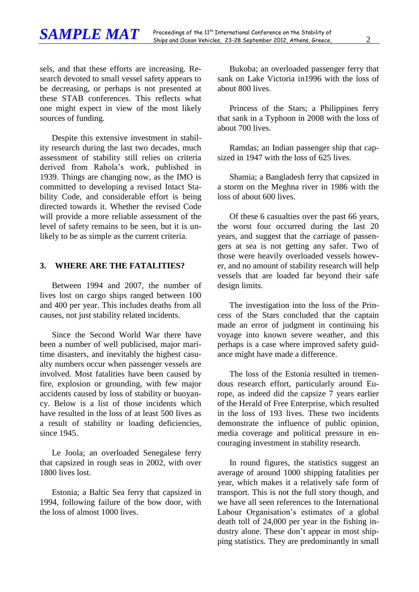sels, and that these efforts are increasing. Research devoted to small vessel safety appears to be decreasing, or perhaps is not presented at these STAB conferences. This reflects what one might expect in view of the most likely sources of funding.

Despite this extensive investment in stability research during the last two decades, much assessment of stability still relies on criteria derived from Rahola's work, published in 1939. Things are changing now, as the IMO is committed to developing a revised Intact Stability Code, and considerable effort is being directed towards it. Whether the revised Code will provide a more reliable assessment of the level of safety remains to be seen, but it is unlikely to be as simple as the current criteria.

# **3. WHERE ARE THE FATALITIES?**

Between 1994 and 2007, the number of lives lost on cargo ships ranged between 100 and 400 per year. This includes deaths from all causes, not just stability related incidents.

Since the Second World War there have been a number of well publicised, major maritime disasters, and inevitably the highest casualty numbers occur when passenger vessels are involved. Most fatalities have been caused by fire, explosion or grounding, with few major accidents caused by loss of stability or buoyancy. Below is a list of those incidents which have resulted in the loss of at least 500 lives as a result of stability or loading deficiencies, since 1945.

Le Joola; an overloaded Senegalese ferry that capsized in rough seas in 2002, with over 1800 lives lost.

Estonia; a Baltic Sea ferry that capsized in 1994, following failure of the bow door, with the loss of almost 1000 lives.

Bukoba; an overloaded passenger ferry that sank on Lake Victoria in1996 with the loss of about 800 lives.

Princess of the Stars; a Philippines ferry that sank in a Typhoon in 2008 with the loss of about 700 lives.

Ramdas; an Indian passenger ship that capsized in 1947 with the loss of 625 lives.

Shamia; a Bangladesh ferry that capsized in a storm on the Meghna river in 1986 with the loss of about 600 lives.

Of these 6 casualties over the past 66 years, the worst four occurred during the last 20 years, and suggest that the carriage of passengers at sea is not getting any safer. Two of those were heavily overloaded vessels however, and no amount of stability research will help vessels that are loaded far beyond their safe design limits.

The investigation into the loss of the Princess of the Stars concluded that the captain made an error of judgment in continuing his voyage into known severe weather, and this perhaps is a case where improved safety guidance might have made a difference.

The loss of the Estonia resulted in tremendous research effort, particularly around Europe, as indeed did the capsize 7 years earlier of the Herald of Free Enterprise, which resulted in the loss of 193 lives. These two incidents demonstrate the influence of public opinion, media coverage and political pressure in encouraging investment in stability research.

In round figures, the statistics suggest an average of around 1000 shipping fatalities per year, which makes it a relatively safe form of transport. This is not the full story though, and we have all seen references to the International Labour Organisation's estimates of a global death toll of 24,000 per year in the fishing industry alone. These don't appear in most shipping statistics. They are predominantly in small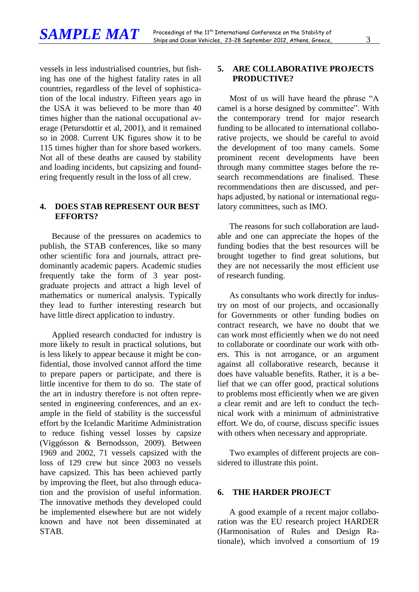vessels in less industrialised countries, but fishing has one of the highest fatality rates in all countries, regardless of the level of sophistication of the local industry. Fifteen years ago in the USA it was believed to be more than 40 times higher than the national occupational average (Petursdottir et al, 2001), and it remained so in 2008. Current UK figures show it to be 115 times higher than for shore based workers. Not all of these deaths are caused by stability and loading incidents, but capsizing and foundering frequently result in the loss of all crew.

#### **4. DOES STAB REPRESENT OUR BEST EFFORTS?**

Because of the pressures on academics to publish, the STAB conferences, like so many other scientific fora and journals, attract predominantly academic papers. Academic studies frequently take the form of 3 year postgraduate projects and attract a high level of mathematics or numerical analysis. Typically they lead to further interesting research but have little direct application to industry.

Applied research conducted for industry is more likely to result in practical solutions, but is less likely to appear because it might be confidential, those involved cannot afford the time to prepare papers or participate, and there is little incentive for them to do so. The state of the art in industry therefore is not often represented in engineering conferences, and an example in the field of stability is the successful effort by the Icelandic Maritime Administration to reduce fishing vessel losses by capsize (Viggósson & Bernodsson, 2009). Between 1969 and 2002, 71 vessels capsized with the loss of 129 crew but since 2003 no vessels have capsized. This has been achieved partly by improving the fleet, but also through education and the provision of useful information. The innovative methods they developed could be implemented elsewhere but are not widely known and have not been disseminated at STAB.

# **5. ARE COLLABORATIVE PROJECTS PRODUCTIVE?**

Most of us will have heard the phrase "A camel is a horse designed by committee". With the contemporary trend for major research funding to be allocated to international collaborative projects, we should be careful to avoid the development of too many camels. Some prominent recent developments have been through many committee stages before the research recommendations are finalised. These recommendations then are discussed, and perhaps adjusted, by national or international regulatory committees, such as IMO.

The reasons for such collaboration are laudable and one can appreciate the hopes of the funding bodies that the best resources will be brought together to find great solutions, but they are not necessarily the most efficient use of research funding.

As consultants who work directly for industry on most of our projects, and occasionally for Governments or other funding bodies on contract research, we have no doubt that we can work most efficiently when we do not need to collaborate or coordinate our work with others. This is not arrogance, or an argument against all collaborative research, because it does have valuable benefits. Rather, it is a belief that we can offer good, practical solutions to problems most efficiently when we are given a clear remit and are left to conduct the technical work with a minimum of administrative effort. We do, of course, discuss specific issues with others when necessary and appropriate.

Two examples of different projects are considered to illustrate this point.

#### **6. THE HARDER PROJECT**

A good example of a recent major collaboration was the EU research project HARDER (Harmonisation of Rules and Design Rationale), which involved a consortium of 19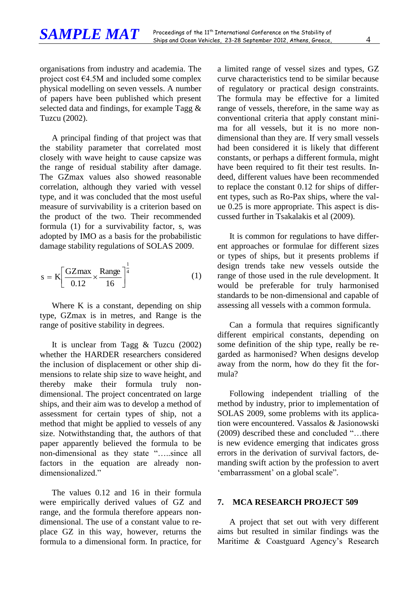organisations from industry and academia. The project cost €4.5M and included some complex physical modelling on seven vessels. A number of papers have been published which present selected data and findings, for example Tagg & Tuzcu (2002).

A principal finding of that project was that the stability parameter that correlated most closely with wave height to cause capsize was the range of residual stability after damage. The GZmax values also showed reasonable correlation, although they varied with vessel type, and it was concluded that the most useful measure of survivability is a criterion based on the product of the two. Their recommended formula (1) for a survivability factor, s, was adopted by IMO as a basis for the probabilistic damage stability regulations of SOLAS 2009.

$$
s = K \left[ \frac{GZ \text{max}}{0.12} \times \frac{\text{Range}}{16} \right]^{\frac{1}{4}}
$$
 (1)

Where K is a constant, depending on ship type, GZmax is in metres, and Range is the range of positive stability in degrees.

It is unclear from Tagg & Tuzcu (2002) whether the HARDER researchers considered the inclusion of displacement or other ship dimensions to relate ship size to wave height, and thereby make their formula truly nondimensional. The project concentrated on large ships, and their aim was to develop a method of assessment for certain types of ship, not a method that might be applied to vessels of any size. Notwithstanding that, the authors of that paper apparently believed the formula to be non-dimensional as they state "…..since all factors in the equation are already nondimensionalized."

The values 0.12 and 16 in their formula were empirically derived values of GZ and range, and the formula therefore appears nondimensional. The use of a constant value to replace GZ in this way, however, returns the formula to a dimensional form. In practice, for

a limited range of vessel sizes and types, GZ curve characteristics tend to be similar because of regulatory or practical design constraints. The formula may be effective for a limited range of vessels, therefore, in the same way as conventional criteria that apply constant minima for all vessels, but it is no more nondimensional than they are. If very small vessels had been considered it is likely that different constants, or perhaps a different formula, might have been required to fit their test results. Indeed, different values have been recommended to replace the constant 0.12 for ships of different types, such as Ro-Pax ships, where the value 0.25 is more appropriate. This aspect is discussed further in Tsakalakis et al (2009).

It is common for regulations to have different approaches or formulae for different sizes or types of ships, but it presents problems if design trends take new vessels outside the range of those used in the rule development. It would be preferable for truly harmonised standards to be non-dimensional and capable of assessing all vessels with a common formula.

Can a formula that requires significantly different empirical constants, depending on some definition of the ship type, really be regarded as harmonised? When designs develop away from the norm, how do they fit the formula?

Following independent trialling of the method by industry, prior to implementation of SOLAS 2009, some problems with its application were encountered. Vassalos & Jasionowski (2009) described these and concluded "…there is new evidence emerging that indicates gross errors in the derivation of survival factors, demanding swift action by the profession to avert 'embarrassment' on a global scale".

#### **7. MCA RESEARCH PROJECT 509**

A project that set out with very different aims but resulted in similar findings was the Maritime & Coastguard Agency's Research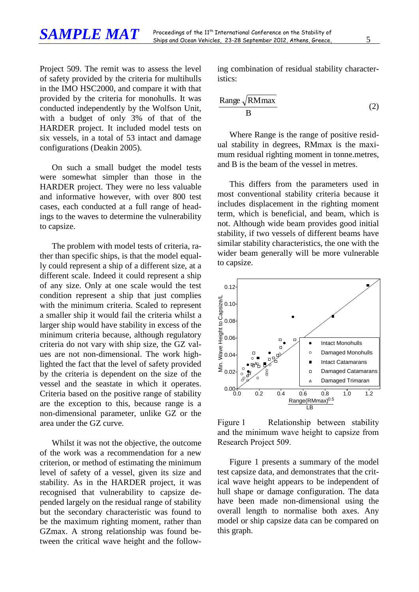Project 509. The remit was to assess the level of safety provided by the criteria for multihulls in the IMO HSC2000, and compare it with that provided by the criteria for monohulls. It was conducted independently by the Wolfson Unit, with a budget of only 3% of that of the HARDER project. It included model tests on six vessels, in a total of 53 intact and damage configurations (Deakin 2005).

On such a small budget the model tests were somewhat simpler than those in the HARDER project. They were no less valuable and informative however, with over 800 test cases, each conducted at a full range of headings to the waves to determine the vulnerability to capsize.

The problem with model tests of criteria, rather than specific ships, is that the model equally could represent a ship of a different size, at a different scale. Indeed it could represent a ship of any size. Only at one scale would the test condition represent a ship that just complies with the minimum criteria. Scaled to represent a smaller ship it would fail the criteria whilst a larger ship would have stability in excess of the minimum criteria because, although regulatory criteria do not vary with ship size, the GZ values are not non-dimensional. The work highlighted the fact that the level of safety provided by the criteria is dependent on the size of the vessel and the seastate in which it operates. Criteria based on the positive range of stability are the exception to this, because range is a non-dimensional parameter, unlike GZ or the area under the GZ curve.

Whilst it was not the objective, the outcome of the work was a recommendation for a new criterion, or method of estimating the minimum level of safety of a vessel, given its size and stability. As in the HARDER project, it was recognised that vulnerability to capsize depended largely on the residual range of stability but the secondary characteristic was found to be the maximum righting moment, rather than GZmax. A strong relationship was found between the critical wave height and the following combination of residual stability characteristics:

$$
\frac{\text{Range}\sqrt{\text{RMmax}}}{B} \tag{2}
$$

Where Range is the range of positive residual stability in degrees, RMmax is the maximum residual righting moment in tonne.metres, and B is the beam of the vessel in metres.

This differs from the parameters used in most conventional stability criteria because it includes displacement in the righting moment term, which is beneficial, and beam, which is not. Although wide beam provides good initial stability, if two vessels of different beams have similar stability characteristics, the one with the wider beam generally will be more vulnerable to capsize.



<span id="page-4-0"></span>Figure 1 Relationship between stability and the minimum wave height to capsize from Research Project 509.

[Figure 1](#page-4-0) presents a summary of the model test capsize data, and demonstrates that the critical wave height appears to be independent of hull shape or damage configuration. The data have been made non-dimensional using the overall length to normalise both axes. Any model or ship capsize data can be compared on this graph.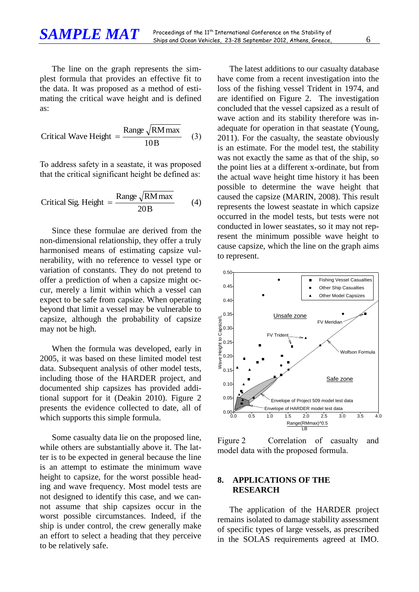The line on the graph represents the simplest formula that provides an effective fit to the data. It was proposed as a method of estimating the critical wave height and is defined as:

$$
Critical Wave Height = \frac{Range \sqrt{RM max}}{10B}
$$
 (3)

To address safety in a seastate, it was proposed that the critical significant height be defined as:

$$
Critical Sig. Height = \frac{Range \sqrt{RM max}}{20B}
$$
 (4)

Since these formulae are derived from the non-dimensional relationship, they offer a truly harmonised means of estimating capsize vulnerability, with no reference to vessel type or variation of constants. They do not pretend to offer a prediction of when a capsize might occur, merely a limit within which a vessel can expect to be safe from capsize. When operating beyond that limit a vessel may be vulnerable to capsize, although the probability of capsize may not be high.

When the formula was developed, early in 2005, it was based on these limited model test data. Subsequent analysis of other model tests, including those of the HARDER project, and documented ship capsizes has provided additional support for it (Deakin 2010). [Figure 2](#page-5-0) presents the evidence collected to date, all of which supports this simple formula.

Some casualty data lie on the proposed line, while others are substantially above it. The latter is to be expected in general because the line is an attempt to estimate the minimum wave height to capsize, for the worst possible heading and wave frequency. Most model tests are not designed to identify this case, and we cannot assume that ship capsizes occur in the worst possible circumstances. Indeed, if the ship is under control, the crew generally make an effort to select a heading that they perceive to be relatively safe.

The latest additions to our casualty database have come from a recent investigation into the loss of the fishing vessel Trident in 1974, and are identified on [Figure 2.](#page-5-0) The investigation concluded that the vessel capsized as a result of wave action and its stability therefore was inadequate for operation in that seastate (Young, 2011). For the casualty, the seastate obviously is an estimate. For the model test, the stability was not exactly the same as that of the ship, so the point lies at a different x-ordinate, but from the actual wave height time history it has been possible to determine the wave height that caused the capsize (MARIN, 2008). This result represents the lowest seastate in which capsize occurred in the model tests, but tests were not conducted in lower seastates, so it may not represent the minimum possible wave height to cause capsize, which the line on the graph aims to represent.



<span id="page-5-0"></span>Figure 2 Correlation of casualty and model data with the proposed formula.

### **8. APPLICATIONS OF THE RESEARCH**

The application of the HARDER project remains isolated to damage stability assessment of specific types of large vessels, as prescribed in the SOLAS requirements agreed at IMO.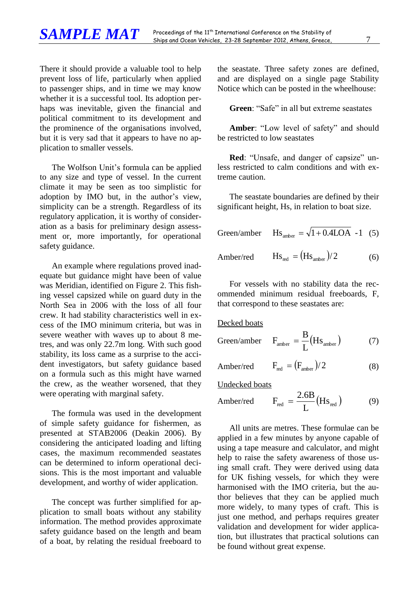There it should provide a valuable tool to help prevent loss of life, particularly when applied to passenger ships, and in time we may know whether it is a successful tool. Its adoption perhaps was inevitable, given the financial and political commitment to its development and the prominence of the organisations involved, but it is very sad that it appears to have no application to smaller vessels.

The Wolfson Unit's formula can be applied to any size and type of vessel. In the current climate it may be seen as too simplistic for adoption by IMO but, in the author's view, simplicity can be a strength. Regardless of its regulatory application, it is worthy of consideration as a basis for preliminary design assessment or, more importantly, for operational safety guidance.

An example where regulations proved inadequate but guidance might have been of value was Meridian, identified on [Figure 2.](#page-5-0) This fishing vessel capsized while on guard duty in the North Sea in 2006 with the loss of all four crew. It had stability characteristics well in excess of the IMO minimum criteria, but was in severe weather with waves up to about 8 metres, and was only 22.7m long. With such good stability, its loss came as a surprise to the accident investigators, but safety guidance based on a formula such as this might have warned the crew, as the weather worsened, that they were operating with marginal safety.

The formula was used in the development of simple safety guidance for fishermen, as presented at STAB2006 (Deakin 2006). By considering the anticipated loading and lifting cases, the maximum recommended seastates can be determined to inform operational decisions. This is the most important and valuable development, and worthy of wider application.

The concept was further simplified for application to small boats without any stability information. The method provides approximate safety guidance based on the length and beam of a boat, by relating the residual freeboard to the seastate. Three safety zones are defined, and are displayed on a single page Stability Notice which can be posted in the wheelhouse:

**Green**: "Safe" in all but extreme seastates

**Amber**: "Low level of safety" and should be restricted to low seastates

**Red**: "Unsafe, and danger of capsize" unless restricted to calm conditions and with extreme caution.

The seastate boundaries are defined by their significant height, Hs, in relation to boat size.

Green/amber  $\text{Hs}_{\text{amber}} = \sqrt{1 + 0.4 \text{LOA} - 1}$  (5) Amber/red  $\text{Hs}_{\text{red}} = (\text{Hs}_{\text{amber}})/2$ (6)

For vessels with no stability data the recommended minimum residual freeboards, F, that correspond to these seastates are:

Decked boats

Green/amber 
$$
F_{\text{amber}} = \frac{B}{L}(Hs_{\text{amber}})
$$
 (7)

$$
Amber/red \tF_{red} = (F_{amber})/2 \t(8)
$$

Undecked boats

$$
Amber/red \tF_{red} = \frac{2.6B}{L} (Hs_{red}) \t(9)
$$

All units are metres. These formulae can be applied in a few minutes by anyone capable of using a tape measure and calculator, and might help to raise the safety awareness of those using small craft. They were derived using data for UK fishing vessels, for which they were harmonised with the IMO criteria, but the author believes that they can be applied much more widely, to many types of craft. This is just one method, and perhaps requires greater validation and development for wider application, but illustrates that practical solutions can be found without great expense.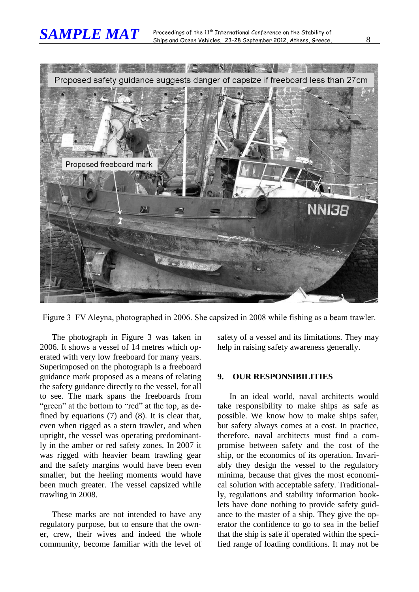

Figure 3 FV Aleyna, photographed in 2006. She capsized in 2008 while fishing as a beam trawler.

The photograph in Figure 3 was taken in 2006. It shows a vessel of 14 metres which operated with very low freeboard for many years. Superimposed on the photograph is a freeboard guidance mark proposed as a means of relating the safety guidance directly to the vessel, for all to see. The mark spans the freeboards from "green" at the bottom to "red" at the top, as defined by equations (7) and (8). It is clear that, even when rigged as a stern trawler, and when upright, the vessel was operating predominantly in the amber or red safety zones. In 2007 it was rigged with heavier beam trawling gear and the safety margins would have been even smaller, but the heeling moments would have been much greater. The vessel capsized while trawling in 2008.

These marks are not intended to have any regulatory purpose, but to ensure that the owner, crew, their wives and indeed the whole community, become familiar with the level of safety of a vessel and its limitations. They may help in raising safety awareness generally.

# **9. OUR RESPONSIBILITIES**

In an ideal world, naval architects would take responsibility to make ships as safe as possible. We know how to make ships safer, but safety always comes at a cost. In practice, therefore, naval architects must find a compromise between safety and the cost of the ship, or the economics of its operation. Invariably they design the vessel to the regulatory minima, because that gives the most economical solution with acceptable safety. Traditionally, regulations and stability information booklets have done nothing to provide safety guidance to the master of a ship. They give the operator the confidence to go to sea in the belief that the ship is safe if operated within the specified range of loading conditions. It may not be